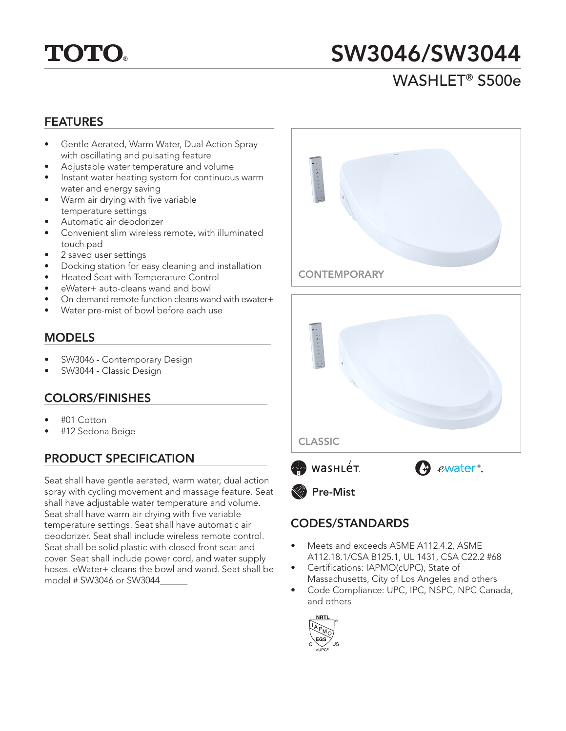# **TOTO.**

## SW3046/SW3044

### WASHLET® S500e

#### FEATURES

- Gentle Aerated, Warm Water, Dual Action Spray with oscillating and pulsating feature
- Adjustable water temperature and volume
- Instant water heating system for continuous warm water and energy saving
- Warm air drying with five variable temperature settings
- Automatic air deodorizer
- Convenient slim wireless remote, with illuminated touch pad
- 2 saved user settings
- Docking station for easy cleaning and installation
- Heated Seat with Temperature Control
- eWater+ auto-cleans wand and bowl
- On-demand remote function cleans wand with ewater+
- Water pre-mist of bowl before each use

#### MODELS

- SW3046 Contemporary Design
- SW3044 Classic Design

#### COLORS/FINISHES

- #01 Cotton
- #12 Sedona Beige

#### PRODUCT SPECIFICATION

Seat shall have gentle aerated, warm water, dual action spray with cycling movement and massage feature. Seat shall have adjustable water temperature and volume. Seat shall have warm air drying with five variable temperature settings. Seat shall have automatic air deodorizer. Seat shall include wireless remote control. Seat shall be solid plastic with closed front seat and cover. Seat shall include power cord, and water supply hoses. eWater+ cleans the bowl and wand. Seat shall be model # SW3046 or SW3044\_\_\_\_\_\_





#### CODES/STANDARDS

- Meets and exceeds ASME A112.4.2, ASME A112.18.1/CSA B125.1, UL 1431, CSA C22.2 #68
- Certifications: IAPMO(cUPC), State of Massachusetts, City of Los Angeles and others
- Code Compliance: UPC, IPC, NSPC, NPC Canada, and others